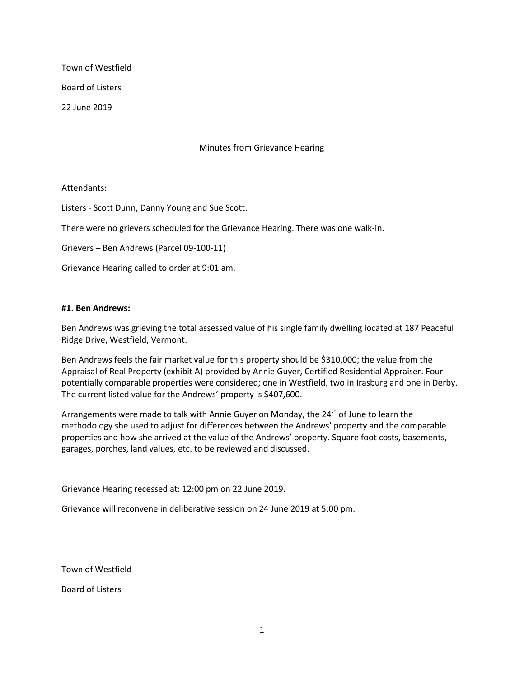Town of Westfield Board of Listers

22 June 2019

Minutes from Grievance Hearing

#### Attendants:

Listers - Scott Dunn, Danny Young and Sue Scott.

There were no grievers scheduled for the Grievance Hearing. There was one walk-in.

Grievers – Ben Andrews (Parcel 09-100-11)

Grievance Hearing called to order at 9:01 am.

#### **#1. Ben Andrews:**

Ben Andrews was grieving the total assessed value of his single family dwelling located at 187 Peaceful Ridge Drive, Westfield, Vermont.

Ben Andrews feels the fair market value for this property should be \$310,000; the value from the Appraisal of Real Property (exhibit A) provided by Annie Guyer, Certified Residential Appraiser. Four potentially comparable properties were considered; one in Westfield, two in Irasburg and one in Derby. The current listed value for the Andrews' property is \$407,600.

Arrangements were made to talk with Annie Guyer on Monday, the  $24<sup>th</sup>$  of June to learn the methodology she used to adjust for differences between the Andrews' property and the comparable properties and how she arrived at the value of the Andrews' property. Square foot costs, basements, garages, porches, land values, etc. to be reviewed and discussed.

Grievance Hearing recessed at: 12:00 pm on 22 June 2019.

Grievance will reconvene in deliberative session on 24 June 2019 at 5:00 pm.

Town of Westfield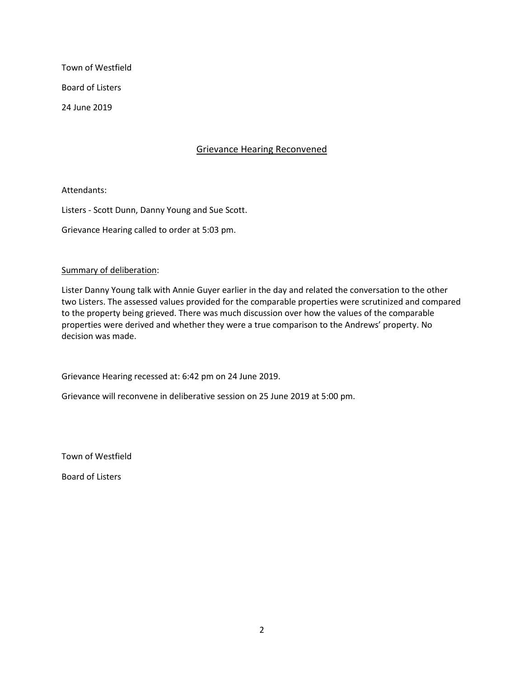Town of Westfield Board of Listers

24 June 2019

## Grievance Hearing Reconvened

Attendants:

Listers - Scott Dunn, Danny Young and Sue Scott.

Grievance Hearing called to order at 5:03 pm.

### Summary of deliberation:

Lister Danny Young talk with Annie Guyer earlier in the day and related the conversation to the other two Listers. The assessed values provided for the comparable properties were scrutinized and compared to the property being grieved. There was much discussion over how the values of the comparable properties were derived and whether they were a true comparison to the Andrews' property. No decision was made.

Grievance Hearing recessed at: 6:42 pm on 24 June 2019.

Grievance will reconvene in deliberative session on 25 June 2019 at 5:00 pm.

Town of Westfield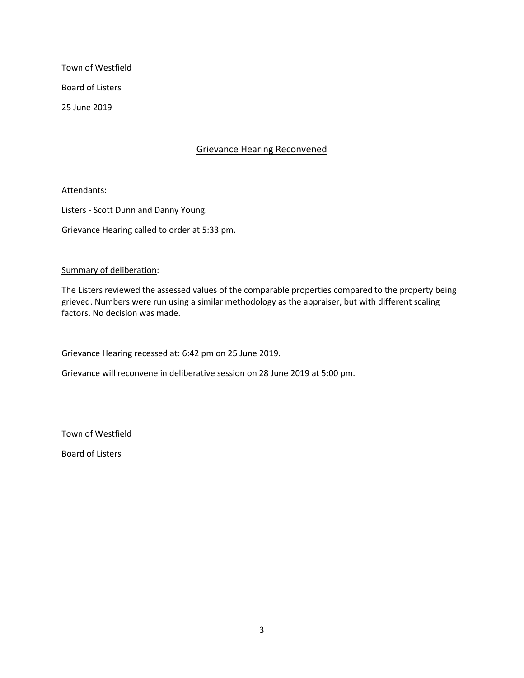Town of Westfield Board of Listers

25 June 2019

Grievance Hearing Reconvened

Attendants:

Listers - Scott Dunn and Danny Young.

Grievance Hearing called to order at 5:33 pm.

### Summary of deliberation:

The Listers reviewed the assessed values of the comparable properties compared to the property being grieved. Numbers were run using a similar methodology as the appraiser, but with different scaling factors. No decision was made.

Grievance Hearing recessed at: 6:42 pm on 25 June 2019.

Grievance will reconvene in deliberative session on 28 June 2019 at 5:00 pm.

Town of Westfield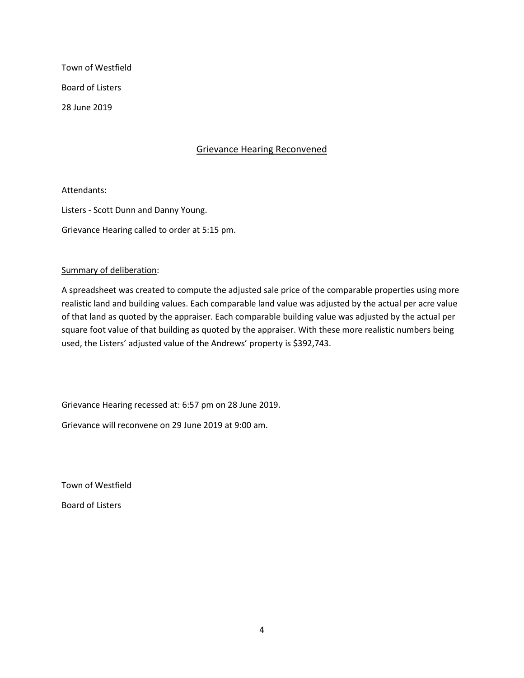Town of Westfield Board of Listers 28 June 2019

### Grievance Hearing Reconvened

Attendants:

Listers - Scott Dunn and Danny Young.

Grievance Hearing called to order at 5:15 pm.

### Summary of deliberation:

A spreadsheet was created to compute the adjusted sale price of the comparable properties using more realistic land and building values. Each comparable land value was adjusted by the actual per acre value of that land as quoted by the appraiser. Each comparable building value was adjusted by the actual per square foot value of that building as quoted by the appraiser. With these more realistic numbers being used, the Listers' adjusted value of the Andrews' property is \$392,743.

Grievance Hearing recessed at: 6:57 pm on 28 June 2019.

Grievance will reconvene on 29 June 2019 at 9:00 am.

Town of Westfield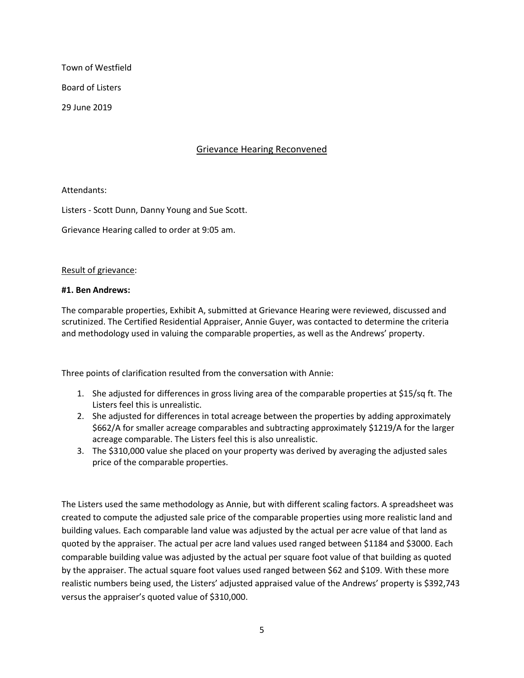Town of Westfield

Board of Listers

29 June 2019

# Grievance Hearing Reconvened

Attendants:

Listers - Scott Dunn, Danny Young and Sue Scott.

Grievance Hearing called to order at 9:05 am.

### Result of grievance:

### **#1. Ben Andrews:**

The comparable properties, Exhibit A, submitted at Grievance Hearing were reviewed, discussed and scrutinized. The Certified Residential Appraiser, Annie Guyer, was contacted to determine the criteria and methodology used in valuing the comparable properties, as well as the Andrews' property.

Three points of clarification resulted from the conversation with Annie:

- 1. She adjusted for differences in gross living area of the comparable properties at \$15/sq ft. The Listers feel this is unrealistic.
- 2. She adjusted for differences in total acreage between the properties by adding approximately \$662/A for smaller acreage comparables and subtracting approximately \$1219/A for the larger acreage comparable. The Listers feel this is also unrealistic.
- 3. The \$310,000 value she placed on your property was derived by averaging the adjusted sales price of the comparable properties.

The Listers used the same methodology as Annie, but with different scaling factors. A spreadsheet was created to compute the adjusted sale price of the comparable properties using more realistic land and building values. Each comparable land value was adjusted by the actual per acre value of that land as quoted by the appraiser. The actual per acre land values used ranged between \$1184 and \$3000. Each comparable building value was adjusted by the actual per square foot value of that building as quoted by the appraiser. The actual square foot values used ranged between \$62 and \$109. With these more realistic numbers being used, the Listers' adjusted appraised value of the Andrews' property is \$392,743 versus the appraiser's quoted value of \$310,000.